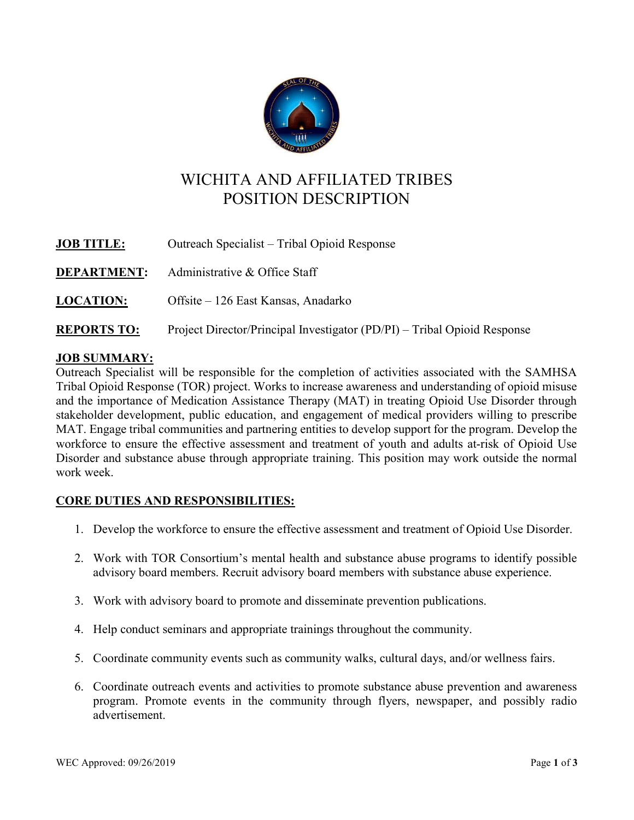

# WICHITA AND AFFILIATED TRIBES POSITION DESCRIPTION

| <b>JOB TITLE:</b>  | Outreach Specialist – Tribal Opioid Response                             |
|--------------------|--------------------------------------------------------------------------|
| <b>DEPARTMENT:</b> | Administrative & Office Staff                                            |
| <b>LOCATION:</b>   | Offsite – 126 East Kansas, Anadarko                                      |
| <b>REPORTS TO:</b> | Project Director/Principal Investigator (PD/PI) – Tribal Opioid Response |

## JOB SUMMARY:

Outreach Specialist will be responsible for the completion of activities associated with the SAMHSA Tribal Opioid Response (TOR) project. Works to increase awareness and understanding of opioid misuse and the importance of Medication Assistance Therapy (MAT) in treating Opioid Use Disorder through stakeholder development, public education, and engagement of medical providers willing to prescribe MAT. Engage tribal communities and partnering entities to develop support for the program. Develop the workforce to ensure the effective assessment and treatment of youth and adults at-risk of Opioid Use Disorder and substance abuse through appropriate training. This position may work outside the normal work week.

## CORE DUTIES AND RESPONSIBILITIES:

- 1. Develop the workforce to ensure the effective assessment and treatment of Opioid Use Disorder.
- 2. Work with TOR Consortium's mental health and substance abuse programs to identify possible advisory board members. Recruit advisory board members with substance abuse experience.
- 3. Work with advisory board to promote and disseminate prevention publications.
- 4. Help conduct seminars and appropriate trainings throughout the community.
- 5. Coordinate community events such as community walks, cultural days, and/or wellness fairs.
- 6. Coordinate outreach events and activities to promote substance abuse prevention and awareness program. Promote events in the community through flyers, newspaper, and possibly radio advertisement.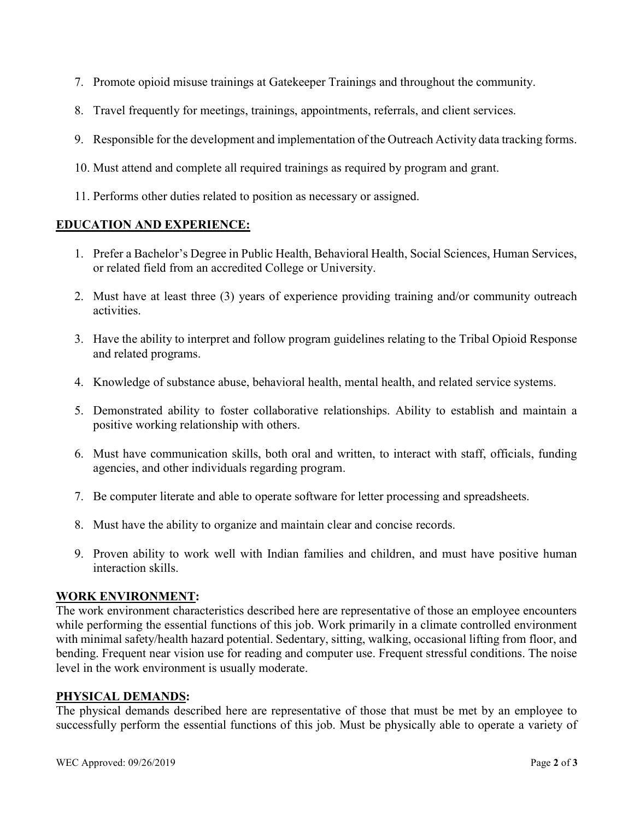- 7. Promote opioid misuse trainings at Gatekeeper Trainings and throughout the community.
- 8. Travel frequently for meetings, trainings, appointments, referrals, and client services.
- 9. Responsible for the development and implementation of the Outreach Activity data tracking forms.
- 10. Must attend and complete all required trainings as required by program and grant.
- 11. Performs other duties related to position as necessary or assigned.

## EDUCATION AND EXPERIENCE:

- 1. Prefer a Bachelor's Degree in Public Health, Behavioral Health, Social Sciences, Human Services, or related field from an accredited College or University.
- 2. Must have at least three (3) years of experience providing training and/or community outreach activities.
- 3. Have the ability to interpret and follow program guidelines relating to the Tribal Opioid Response and related programs.
- 4. Knowledge of substance abuse, behavioral health, mental health, and related service systems.
- 5. Demonstrated ability to foster collaborative relationships. Ability to establish and maintain a positive working relationship with others.
- 6. Must have communication skills, both oral and written, to interact with staff, officials, funding agencies, and other individuals regarding program.
- 7. Be computer literate and able to operate software for letter processing and spreadsheets.
- 8. Must have the ability to organize and maintain clear and concise records.
- 9. Proven ability to work well with Indian families and children, and must have positive human interaction skills.

### WORK ENVIRONMENT:

The work environment characteristics described here are representative of those an employee encounters while performing the essential functions of this job. Work primarily in a climate controlled environment with minimal safety/health hazard potential. Sedentary, sitting, walking, occasional lifting from floor, and bending. Frequent near vision use for reading and computer use. Frequent stressful conditions. The noise level in the work environment is usually moderate.

### PHYSICAL DEMANDS:

The physical demands described here are representative of those that must be met by an employee to successfully perform the essential functions of this job. Must be physically able to operate a variety of